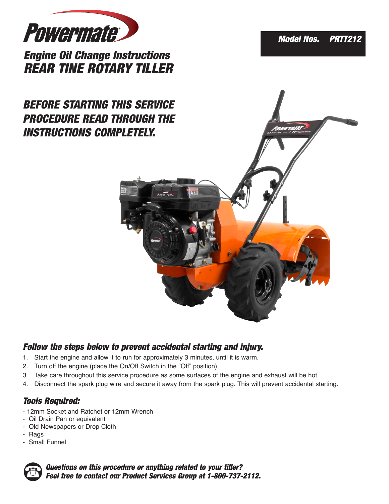

*Engine Oil Change Instructions REAR TINE ROTARY TILLER*

# *BEFORE STARTING THIS SERVICE PROCEDURE READ THROUGH THE INSTRUCTIONS COMPLETELY.*





#### *Follow the steps below to prevent accidental starting and injury.*

- 1. Start the engine and allow it to run for approximately 3 minutes, until it is warm.
- 2. Turn off the engine (place the On/Off Switch in the "Off" position)
- 3. Take care throughout this service procedure as some surfaces of the engine and exhaust will be hot.
- 4. Disconnect the spark plug wire and secure it away from the spark plug. This will prevent accidental starting.

## *Tools Required:*

- 12mm Socket and Ratchet or 12mm Wrench
- Oil Drain Pan or equivalent
- Old Newspapers or Drop Cloth
- Rags
- Small Funnel



*Questions on this procedure or anything related to your tiller? Feel free to contact our Product Services Group at 1-800-737-2112.*